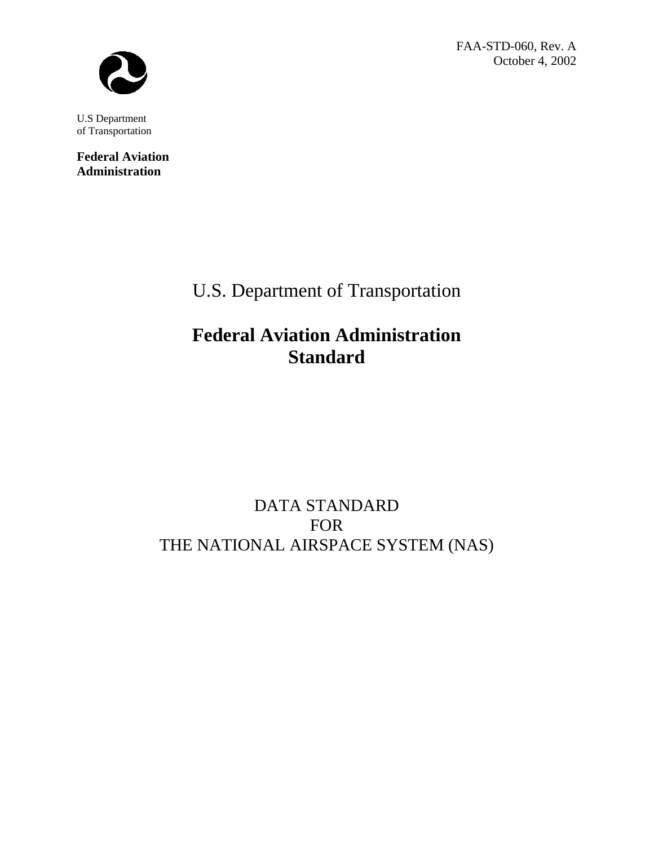FAA-STD-060, Rev. A October 4, 2002



U.S Department of Transportation

**Federal Aviation Administration**

U.S. Department of Transportation

# **Federal Aviation Administration Standard**

## DATA STANDARD FOR THE NATIONAL AIRSPACE SYSTEM (NAS)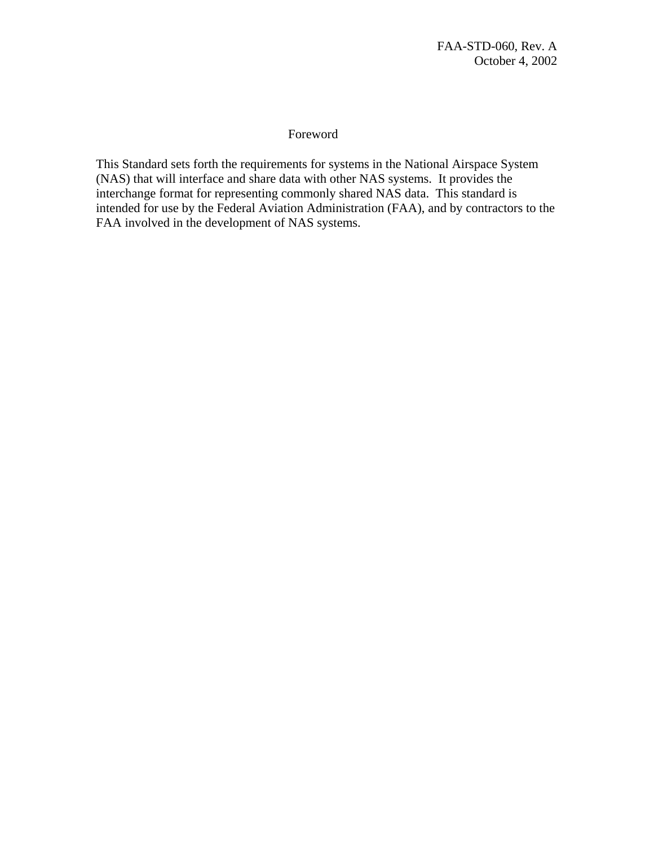#### Foreword

This Standard sets forth the requirements for systems in the National Airspace System (NAS) that will interface and share data with other NAS systems. It provides the interchange format for representing commonly shared NAS data. This standard is intended for use by the Federal Aviation Administration (FAA), and by contractors to the FAA involved in the development of NAS systems.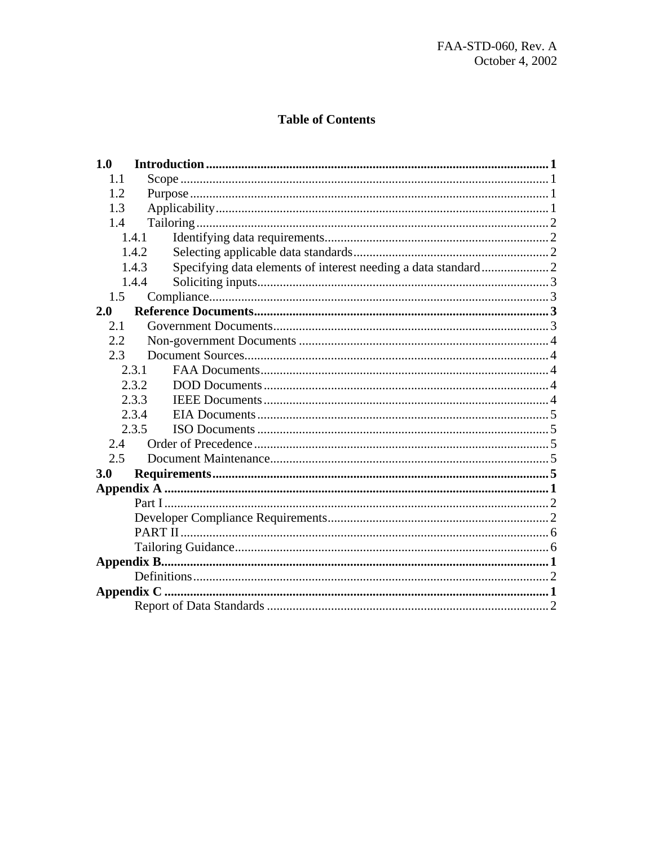## **Table of Contents**

| 1.0               |  |  |  |
|-------------------|--|--|--|
| 1.1               |  |  |  |
| 1.2               |  |  |  |
| 1.3               |  |  |  |
| 1.4               |  |  |  |
| 1.4.1             |  |  |  |
| 1.4.2             |  |  |  |
| 1.4.3             |  |  |  |
| 1.4.4             |  |  |  |
| 1.5               |  |  |  |
| 2.0               |  |  |  |
| 2.1               |  |  |  |
| 2.2               |  |  |  |
| 2.3               |  |  |  |
| 2.3.1             |  |  |  |
| 2.3.2             |  |  |  |
| 2.3.3             |  |  |  |
| 2.3.4             |  |  |  |
| 2.3.5             |  |  |  |
| 2.4               |  |  |  |
| 2.5               |  |  |  |
| 3.0               |  |  |  |
|                   |  |  |  |
|                   |  |  |  |
|                   |  |  |  |
|                   |  |  |  |
|                   |  |  |  |
|                   |  |  |  |
|                   |  |  |  |
| <b>Appendix C</b> |  |  |  |
|                   |  |  |  |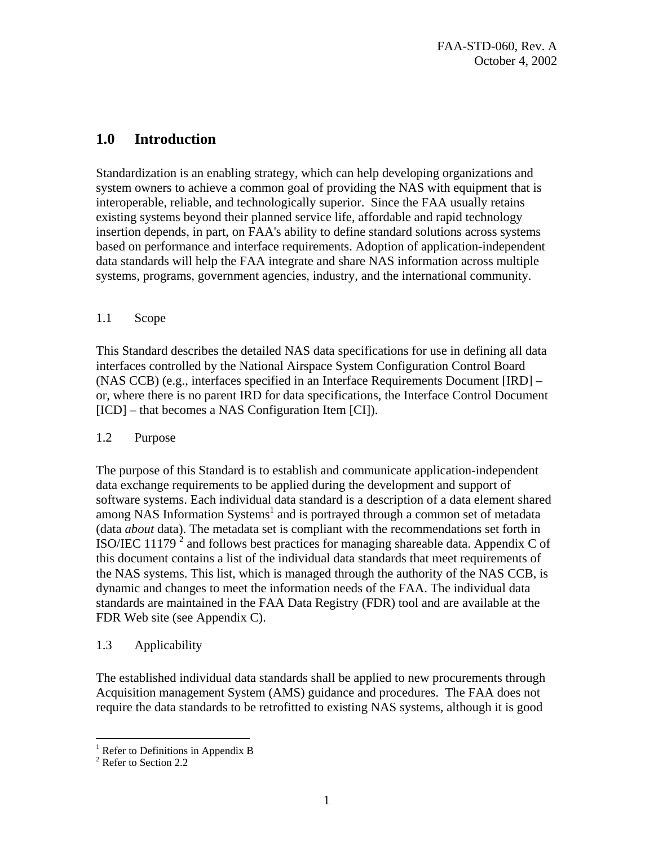## <span id="page-3-0"></span>**1.0 Introduction**

Standardization is an enabling strategy, which can help developing organizations and system owners to achieve a common goal of providing the NAS with equipment that is interoperable, reliable, and technologically superior. Since the FAA usually retains existing systems beyond their planned service life, affordable and rapid technology insertion depends, in part, on FAA's ability to define standard solutions across systems based on performance and interface requirements. Adoption of application-independent data standards will help the FAA integrate and share NAS information across multiple systems, programs, government agencies, industry, and the international community.

#### 1.1 Scope

This Standard describes the detailed NAS data specifications for use in defining all data interfaces controlled by the National Airspace System Configuration Control Board (NAS CCB) (e.g., interfaces specified in an Interface Requirements Document [IRD] – or, where there is no parent IRD for data specifications, the Interface Control Document [ICD] – that becomes a NAS Configuration Item [CI]).

#### 1.2 Purpose

The purpose of this Standard is to establish and communicate application-independent data exchange requirements to be applied during the development and support of software systems. Each individual data standard is a description of a data element shared among NAS Information Systems<sup>[1](#page-3-1)</sup> and is portrayed through a common set of metadata (data *about* data). The metadata set is compliant with the recommendations set forth in ISO/IEC 11179<sup>2</sup> [a](#page-3-2)nd follows best practices for managing shareable data. Appendix C of this document contains a list of the individual data standards that meet requirements of the NAS systems. This list, which is managed through the authority of the NAS CCB, is dynamic and changes to meet the information needs of the FAA. The individual data standards are maintained in the FAA Data Registry (FDR) tool and are available at the FDR Web site (see Appendix C).

#### 1.3 Applicability

The established individual data standards shall be applied to new procurements through Acquisition management System (AMS) guidance and procedures. The FAA does not require the data standards to be retrofitted to existing NAS systems, although it is good

<span id="page-3-1"></span> $\frac{1}{2}$  Refer to Definitions in Appendix B

<span id="page-3-2"></span><sup>&</sup>lt;sup>2</sup> Refer to Section 2.2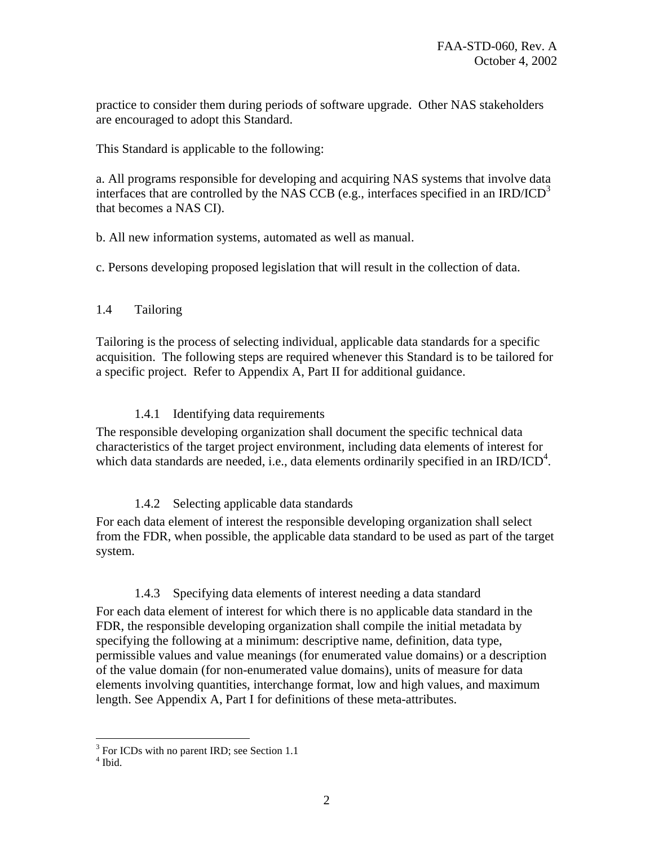<span id="page-4-0"></span>practice to consider them during periods of software upgrade. Other NAS stakeholders are encouraged to adopt this Standard.

This Standard is applicable to the following:

a. All programs responsible for developing and acquiring NAS systems that involve data interfaces that are controlled by the NAS CCB (e.g., interfaces specified in an IRD/ICD<sup>[3](#page-4-1)</sup> that becomes a NAS CI).

b. All new information systems, automated as well as manual.

c. Persons developing proposed legislation that will result in the collection of data.

#### 1.4 Tailoring

Tailoring is the process of selecting individual, applicable data standards for a specific acquisition. The following steps are required whenever this Standard is to be tailored for a specific project. Refer to Appendix A, Part II for additional guidance.

#### 1.4.1 Identifying data requirements

The responsible developing organization shall document the specific technical data characteristics of the target project environment, including data elements of interest for which data standards are needed, i.e., data elements ordinarily specified in an IRD/ICD<sup>[4](#page-4-2)</sup>.

#### 1.4.2 Selecting applicable data standards

For each data element of interest the responsible developing organization shall select from the FDR, when possible, the applicable data standard to be used as part of the target system.

## 1.4.3 Specifying data elements of interest needing a data standard

For each data element of interest for which there is no applicable data standard in the FDR, the responsible developing organization shall compile the initial metadata by specifying the following at a minimum: descriptive name, definition, data type, permissible values and value meanings (for enumerated value domains) or a description of the value domain (for non-enumerated value domains), units of measure for data elements involving quantities, interchange format, low and high values, and maximum length. See Appendix A, Part I for definitions of these meta-attributes.

 $\frac{3}{\pi}$  For ICDs with no parent IRD; see Section 1.1

<span id="page-4-2"></span><span id="page-4-1"></span> $<sup>4</sup>$  Ibid.</sup>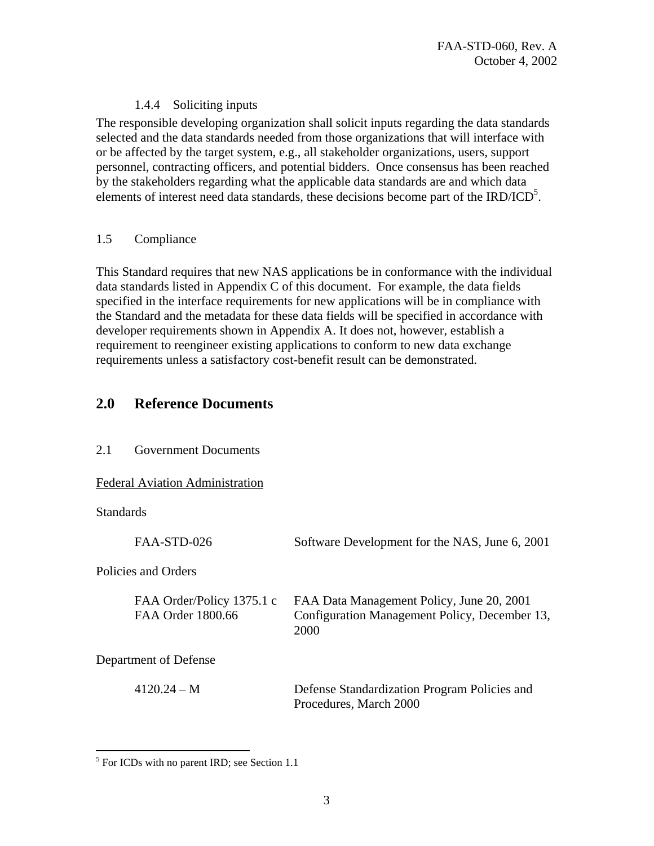#### 1.4.4 Soliciting inputs

<span id="page-5-0"></span>The responsible developing organization shall solicit inputs regarding the data standards selected and the data standards needed from those organizations that will interface with or be affected by the target system, e.g., all stakeholder organizations, users, support personnel, contracting officers, and potential bidders. Once consensus has been reached by the stakeholders regarding what the applicable data standards are and which data elements of interest need data standards, these decisions become part of the IRD/ICD<sup>[5](#page-5-1)</sup>.

#### 1.5 Compliance

This Standard requires that new NAS applications be in conformance with the individual data standards listed in Appendix C of this document. For example, the data fields specified in the interface requirements for new applications will be in compliance with the Standard and the metadata for these data fields will be specified in accordance with developer requirements shown in Appendix A. It does not, however, establish a requirement to reengineer existing applications to conform to new data exchange requirements unless a satisfactory cost-benefit result can be demonstrated.

## **2.0 Reference Documents**

| 2.1<br><b>Government Documents</b> |
|------------------------------------|
|                                    |

#### Federal Aviation Administration

**Standards** 

1

| FAA-STD-026                                    | Software Development for the NAS, June 6, 2001                                                     |
|------------------------------------------------|----------------------------------------------------------------------------------------------------|
| Policies and Orders                            |                                                                                                    |
| FAA Order/Policy 1375.1 c<br>FAA Order 1800.66 | FAA Data Management Policy, June 20, 2001<br>Configuration Management Policy, December 13,<br>2000 |
| Department of Defense                          |                                                                                                    |
| $4120.24 - M$                                  | Defense Standardization Program Policies and<br>Procedures, March 2000                             |

<span id="page-5-1"></span><sup>&</sup>lt;sup>5</sup> For ICDs with no parent IRD; see Section 1.1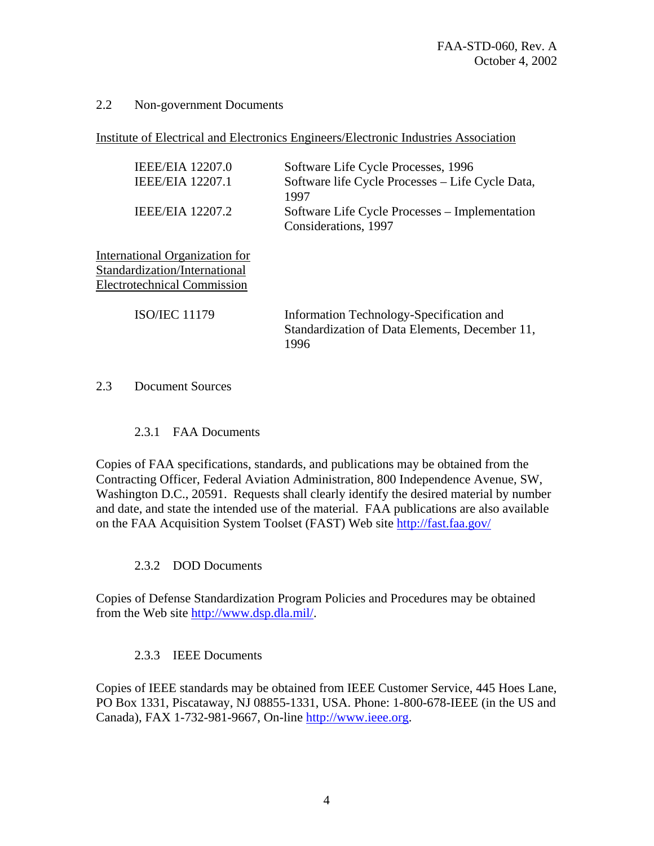#### <span id="page-6-0"></span>2.2 Non-government Documents

Institute of Electrical and Electronics Engineers/Electronic Industries Association

| <b>IEEE/EIA</b> 12207.0<br><b>IEEE/EIA 12207.1</b><br>IEEE/EIA 12207.2                                | Software Life Cycle Processes, 1996<br>Software life Cycle Processes – Life Cycle Data,<br>1997<br>Software Life Cycle Processes - Implementation<br>Considerations, 1997 |
|-------------------------------------------------------------------------------------------------------|---------------------------------------------------------------------------------------------------------------------------------------------------------------------------|
| International Organization for<br>Standardization/International<br><b>Electrotechnical Commission</b> |                                                                                                                                                                           |
| <b>ISO/JEC 11179</b>                                                                                  | Information Technology-Specification and<br>Standardization of Data Elements, December 11,<br>1996                                                                        |

#### 2.3 Document Sources

#### 2.3.1 FAA Documents

Copies of FAA specifications, standards, and publications may be obtained from the Contracting Officer, Federal Aviation Administration, 800 Independence Avenue, SW, Washington D.C., 20591. Requests shall clearly identify the desired material by number and date, and state the intended use of the material. FAA publications are also available on the FAA Acquisition System Toolset (FAST) Web site <http://fast.faa.gov/>

#### 2.3.2 DOD Documents

Copies of Defense Standardization Program Policies and Procedures may be obtained from the Web site [http://www.dsp.dla.mil/.](http://www.dsp.dla.mil/)

#### 2.3.3 IEEE Documents

Copies of IEEE standards may be obtained from IEEE Customer Service, 445 Hoes Lane, PO Box 1331, Piscataway, NJ 08855-1331, USA. Phone: 1-800-678-IEEE (in the US and Canada), FAX 1-732-981-9667, On-line [http://www.ieee.org.](http://www.ieee.org/)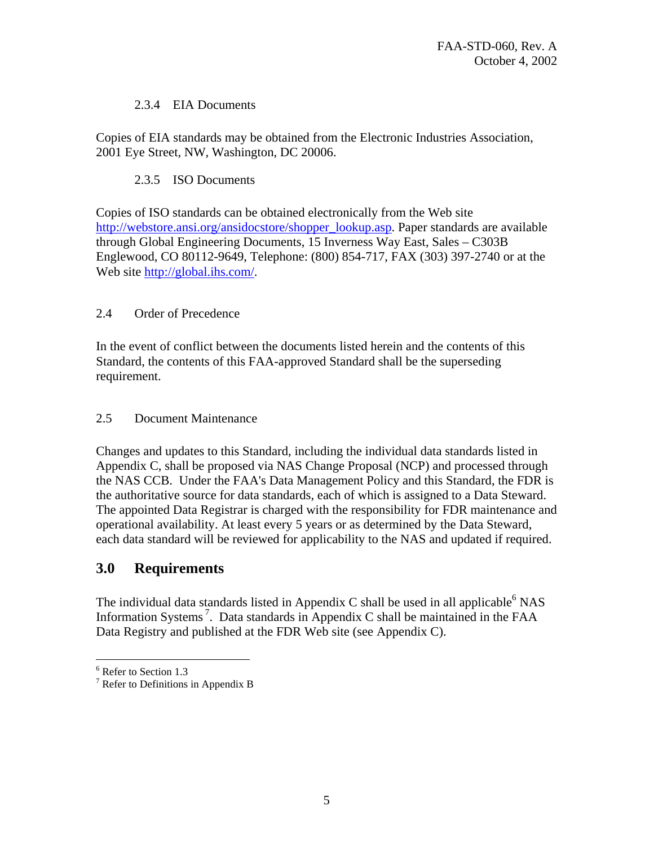#### 2.3.4 EIA Documents

<span id="page-7-0"></span>Copies of EIA standards may be obtained from the Electronic Industries Association, 2001 Eye Street, NW, Washington, DC 20006.

#### 2.3.5 ISO Documents

Copies of ISO standards can be obtained electronically from the Web site [http://webstore.ansi.org/ansidocstore/shopper\\_lookup.asp.](http://webstore.ansi.org/ansidocstore/shopper_lookup.asp) Paper standards are available through Global Engineering Documents, 15 Inverness Way East, Sales – C303B Englewood, CO 80112-9649, Telephone: (800) 854-717, FAX (303) 397-2740 or at the Web site<http://global.ihs.com/>.

#### 2.4 Order of Precedence

In the event of conflict between the documents listed herein and the contents of this Standard, the contents of this FAA-approved Standard shall be the superseding requirement.

#### 2.5 Document Maintenance

Changes and updates to this Standard, including the individual data standards listed in Appendix C, shall be proposed via NAS Change Proposal (NCP) and processed through the NAS CCB. Under the FAA's Data Management Policy and this Standard, the FDR is the authoritative source for data standards, each of which is assigned to a Data Steward. The appointed Data Registrar is charged with the responsibility for FDR maintenance and operational availability. At least every 5 years or as determined by the Data Steward, each data standard will be reviewed for applicability to the NAS and updated if required.

## **3.0 Requirements**

The individual data standards listed in Appendix C shall be used in all applicable  $6$  NAS Information Systems<sup>7</sup>. Data standards in Appendix C shall be maintained in the FAA Data Registry and published at the FDR Web site (see Appendix C).

<u>.</u>

<span id="page-7-1"></span> $^6$  Refer to Section 1.3

<span id="page-7-2"></span> $\frac{7}{7}$  Refer to Definitions in Appendix B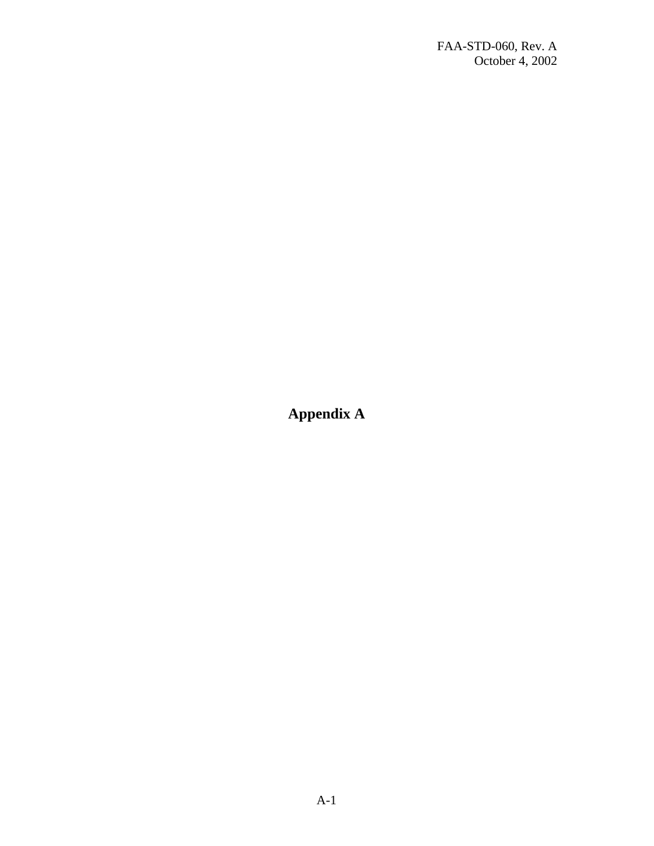<span id="page-8-0"></span>**Appendix A**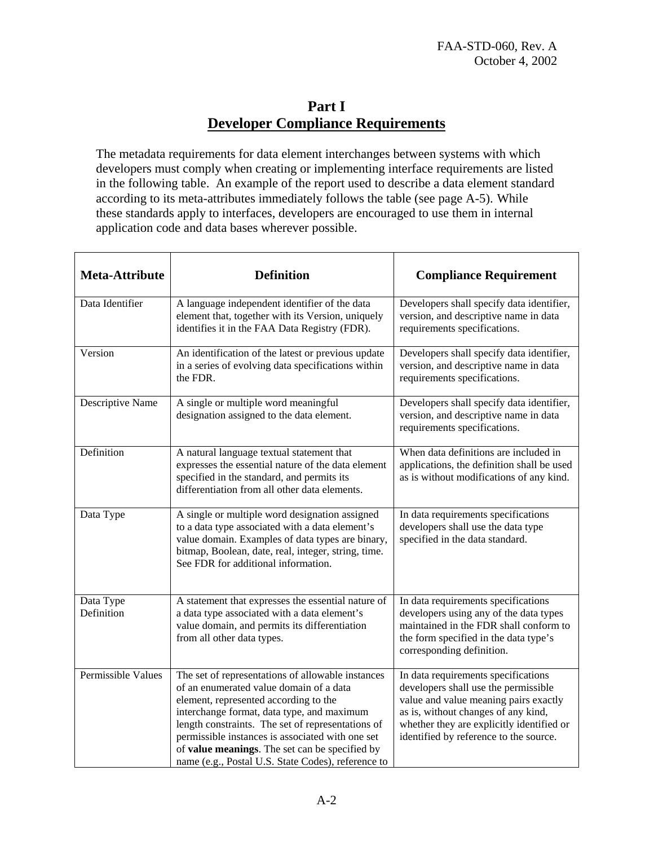## **Part I Developer Compliance Requirements**

<span id="page-9-0"></span>The metadata requirements for data element interchanges between systems with which developers must comply when creating or implementing interface requirements are listed in the following table. An example of the report used to describe a data element standard according to its meta-attributes immediately follows the table (see page A-5). While these standards apply to interfaces, developers are encouraged to use them in internal application code and data bases wherever possible.

| <b>Meta-Attribute</b>   | <b>Definition</b>                                                                                                                                                                                                                                                                                                                                                                                    | <b>Compliance Requirement</b>                                                                                                                                                                                                                      |
|-------------------------|------------------------------------------------------------------------------------------------------------------------------------------------------------------------------------------------------------------------------------------------------------------------------------------------------------------------------------------------------------------------------------------------------|----------------------------------------------------------------------------------------------------------------------------------------------------------------------------------------------------------------------------------------------------|
| Data Identifier         | A language independent identifier of the data<br>element that, together with its Version, uniquely<br>identifies it in the FAA Data Registry (FDR).                                                                                                                                                                                                                                                  | Developers shall specify data identifier,<br>version, and descriptive name in data<br>requirements specifications.                                                                                                                                 |
| Version                 | An identification of the latest or previous update<br>in a series of evolving data specifications within<br>the FDR.                                                                                                                                                                                                                                                                                 | Developers shall specify data identifier,<br>version, and descriptive name in data<br>requirements specifications.                                                                                                                                 |
| Descriptive Name        | A single or multiple word meaningful<br>designation assigned to the data element.                                                                                                                                                                                                                                                                                                                    | Developers shall specify data identifier,<br>version, and descriptive name in data<br>requirements specifications.                                                                                                                                 |
| Definition              | A natural language textual statement that<br>expresses the essential nature of the data element<br>specified in the standard, and permits its<br>differentiation from all other data elements.                                                                                                                                                                                                       | When data definitions are included in<br>applications, the definition shall be used<br>as is without modifications of any kind.                                                                                                                    |
| Data Type               | A single or multiple word designation assigned<br>to a data type associated with a data element's<br>value domain. Examples of data types are binary,<br>bitmap, Boolean, date, real, integer, string, time.<br>See FDR for additional information.                                                                                                                                                  | In data requirements specifications<br>developers shall use the data type<br>specified in the data standard.                                                                                                                                       |
| Data Type<br>Definition | A statement that expresses the essential nature of<br>a data type associated with a data element's<br>value domain, and permits its differentiation<br>from all other data types.                                                                                                                                                                                                                    | In data requirements specifications<br>developers using any of the data types<br>maintained in the FDR shall conform to<br>the form specified in the data type's<br>corresponding definition.                                                      |
| Permissible Values      | The set of representations of allowable instances<br>of an enumerated value domain of a data<br>element, represented according to the<br>interchange format, data type, and maximum<br>length constraints. The set of representations of<br>permissible instances is associated with one set<br>of value meanings. The set can be specified by<br>name (e.g., Postal U.S. State Codes), reference to | In data requirements specifications<br>developers shall use the permissible<br>value and value meaning pairs exactly<br>as is, without changes of any kind,<br>whether they are explicitly identified or<br>identified by reference to the source. |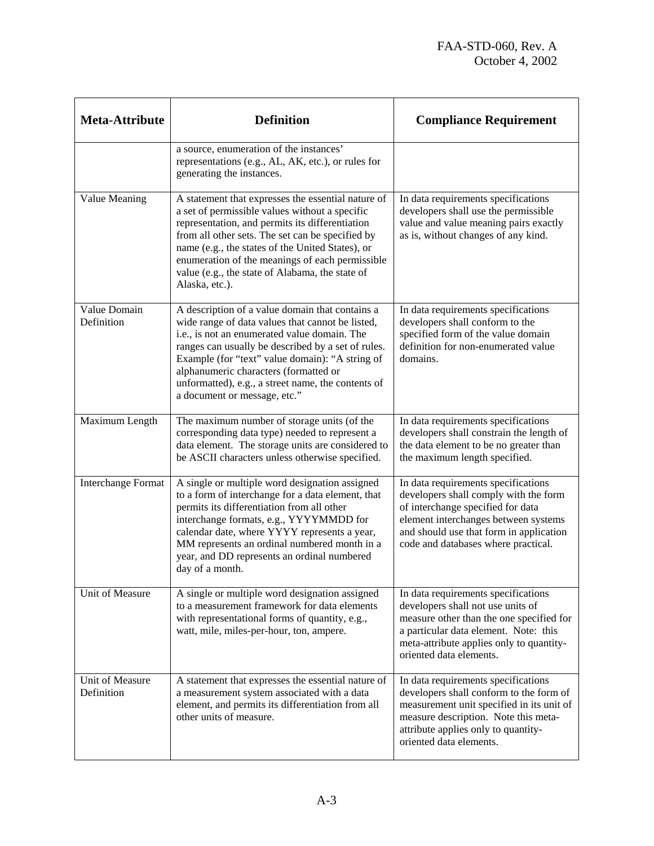| <b>Meta-Attribute</b>         | <b>Definition</b>                                                                                                                                                                                                                                                                                                                                                                           | <b>Compliance Requirement</b>                                                                                                                                                                                                               |
|-------------------------------|---------------------------------------------------------------------------------------------------------------------------------------------------------------------------------------------------------------------------------------------------------------------------------------------------------------------------------------------------------------------------------------------|---------------------------------------------------------------------------------------------------------------------------------------------------------------------------------------------------------------------------------------------|
|                               | a source, enumeration of the instances'<br>representations (e.g., AL, AK, etc.), or rules for<br>generating the instances.                                                                                                                                                                                                                                                                  |                                                                                                                                                                                                                                             |
| Value Meaning                 | A statement that expresses the essential nature of<br>a set of permissible values without a specific<br>representation, and permits its differentiation<br>from all other sets. The set can be specified by<br>name (e.g., the states of the United States), or<br>enumeration of the meanings of each permissible<br>value (e.g., the state of Alabama, the state of<br>Alaska, etc.).     | In data requirements specifications<br>developers shall use the permissible<br>value and value meaning pairs exactly<br>as is, without changes of any kind.                                                                                 |
| Value Domain<br>Definition    | A description of a value domain that contains a<br>wide range of data values that cannot be listed,<br>i.e., is not an enumerated value domain. The<br>ranges can usually be described by a set of rules.<br>Example (for "text" value domain): "A string of<br>alphanumeric characters (formatted or<br>unformatted), e.g., a street name, the contents of<br>a document or message, etc." | In data requirements specifications<br>developers shall conform to the<br>specified form of the value domain<br>definition for non-enumerated value<br>domains.                                                                             |
| Maximum Length                | The maximum number of storage units (of the<br>corresponding data type) needed to represent a<br>data element. The storage units are considered to<br>be ASCII characters unless otherwise specified.                                                                                                                                                                                       | In data requirements specifications<br>developers shall constrain the length of<br>the data element to be no greater than<br>the maximum length specified.                                                                                  |
| <b>Interchange Format</b>     | A single or multiple word designation assigned<br>to a form of interchange for a data element, that<br>permits its differentiation from all other<br>interchange formats, e.g., YYYYMMDD for<br>calendar date, where YYYY represents a year,<br>MM represents an ordinal numbered month in a<br>year, and DD represents an ordinal numbered<br>day of a month.                              | In data requirements specifications<br>developers shall comply with the form<br>of interchange specified for data<br>element interchanges between systems<br>and should use that form in application<br>code and databases where practical. |
| <b>Unit of Measure</b>        | A single or multiple word designation assigned<br>to a measurement framework for data elements<br>with representational forms of quantity, e.g.,<br>watt, mile, miles-per-hour, ton, ampere.                                                                                                                                                                                                | In data requirements specifications<br>developers shall not use units of<br>measure other than the one specified for<br>a particular data element. Note: this<br>meta-attribute applies only to quantity-<br>oriented data elements.        |
| Unit of Measure<br>Definition | A statement that expresses the essential nature of<br>a measurement system associated with a data<br>element, and permits its differentiation from all<br>other units of measure.                                                                                                                                                                                                           | In data requirements specifications<br>developers shall conform to the form of<br>measurement unit specified in its unit of<br>measure description. Note this meta-<br>attribute applies only to quantity-<br>oriented data elements.       |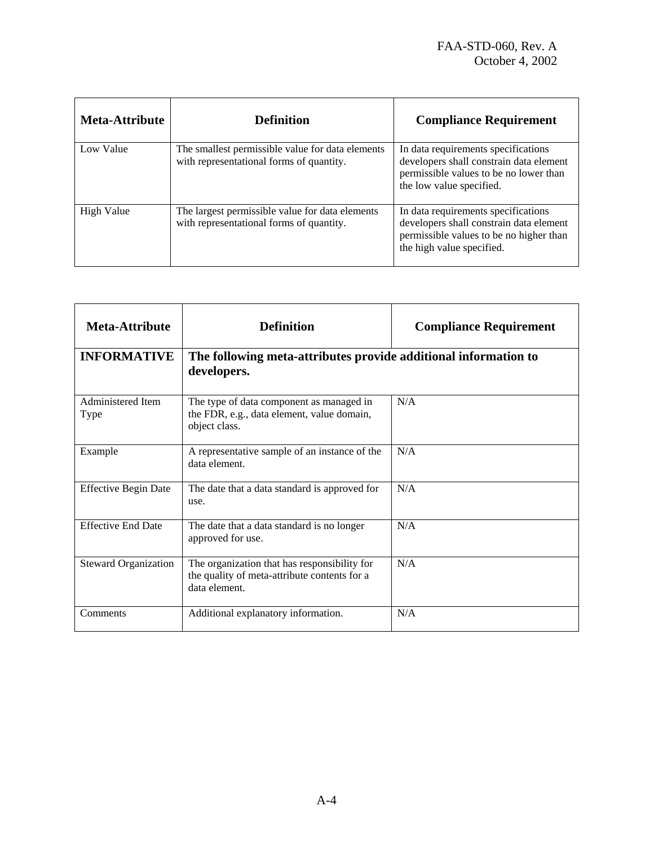| <b>Meta-Attribute</b> | <b>Definition</b>                                                                            | <b>Compliance Requirement</b>                                                                                                                          |
|-----------------------|----------------------------------------------------------------------------------------------|--------------------------------------------------------------------------------------------------------------------------------------------------------|
| Low Value             | The smallest permissible value for data elements<br>with representational forms of quantity. | In data requirements specifications<br>developers shall constrain data element<br>permissible values to be no lower than<br>the low value specified.   |
| <b>High Value</b>     | The largest permissible value for data elements<br>with representational forms of quantity.  | In data requirements specifications<br>developers shall constrain data element<br>permissible values to be no higher than<br>the high value specified. |

| <b>Meta-Attribute</b>       | <b>Definition</b>                                                                                             | <b>Compliance Requirement</b> |
|-----------------------------|---------------------------------------------------------------------------------------------------------------|-------------------------------|
| <b>INFORMATIVE</b>          | The following meta-attributes provide additional information to<br>developers.                                |                               |
| Administered Item<br>Type   | The type of data component as managed in<br>the FDR, e.g., data element, value domain,<br>object class.       | N/A                           |
| Example                     | A representative sample of an instance of the<br>data element.                                                | N/A                           |
| <b>Effective Begin Date</b> | The date that a data standard is approved for<br>use.                                                         | N/A                           |
| <b>Effective End Date</b>   | The date that a data standard is no longer<br>approved for use.                                               | N/A                           |
| <b>Steward Organization</b> | The organization that has responsibility for<br>the quality of meta-attribute contents for a<br>data element. | N/A                           |
| Comments                    | Additional explanatory information.                                                                           | N/A                           |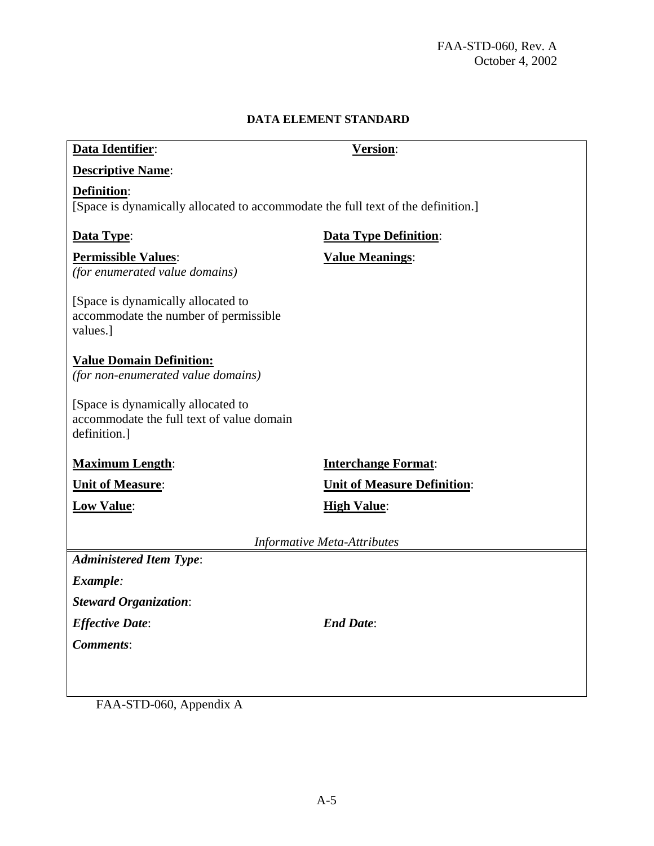## **DATA ELEMENT STANDARD**

| Data Identifier:                                                                                       | Version:                           |  |
|--------------------------------------------------------------------------------------------------------|------------------------------------|--|
| <b>Descriptive Name:</b>                                                                               |                                    |  |
| <b>Definition:</b><br>[Space is dynamically allocated to accommodate the full text of the definition.] |                                    |  |
| Data Type:                                                                                             | <b>Data Type Definition:</b>       |  |
| <b>Permissible Values:</b><br>(for enumerated value domains)                                           | <b>Value Meanings:</b>             |  |
| [Space is dynamically allocated to<br>accommodate the number of permissible<br>values.]                |                                    |  |
| <b>Value Domain Definition:</b><br>(for non-enumerated value domains)                                  |                                    |  |
| [Space is dynamically allocated to<br>accommodate the full text of value domain<br>definition.]        |                                    |  |
| <b>Maximum Length:</b>                                                                                 | <b>Interchange Format:</b>         |  |
| <b>Unit of Measure:</b>                                                                                | <b>Unit of Measure Definition:</b> |  |
| <b>Low Value:</b>                                                                                      | <b>High Value:</b>                 |  |
| <b>Informative Meta-Attributes</b>                                                                     |                                    |  |
| <b>Administered Item Type:</b>                                                                         |                                    |  |
| Example:                                                                                               |                                    |  |
| <b>Steward Organization:</b>                                                                           |                                    |  |
| <b>Effective Date:</b>                                                                                 | <b>End Date:</b>                   |  |
| <b>Comments:</b>                                                                                       |                                    |  |
|                                                                                                        |                                    |  |
|                                                                                                        |                                    |  |

FAA-STD-060, Appendix A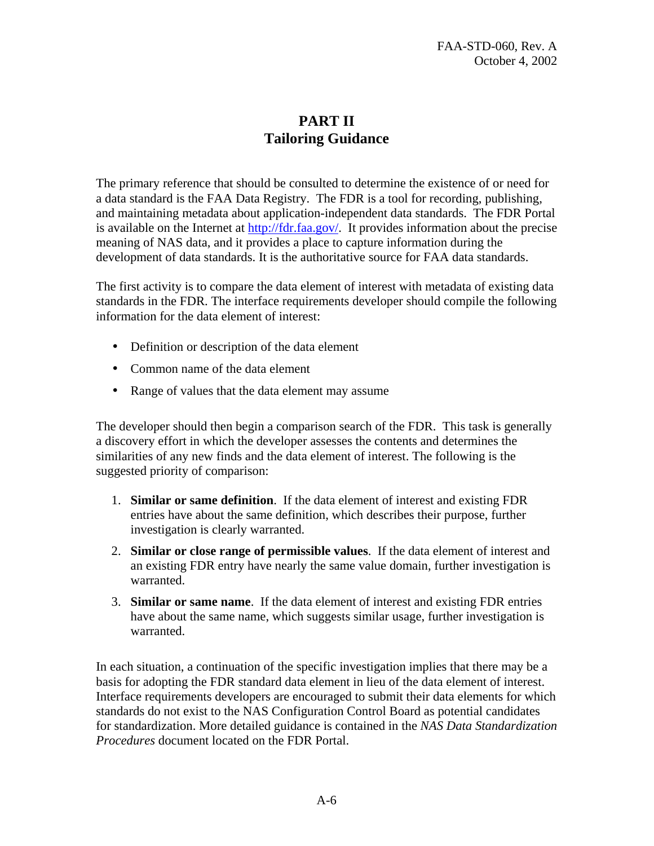## **PART II Tailoring Guidance**

<span id="page-13-0"></span>The primary reference that should be consulted to determine the existence of or need for a data standard is the FAA Data Registry. The FDR is a tool for recording, publishing, and maintaining metadata about application-independent data standards. The FDR Portal is available on the Internet at<http://fdr.faa.gov/>. It provides information about the precise meaning of NAS data, and it provides a place to capture information during the development of data standards. It is the authoritative source for FAA data standards.

The first activity is to compare the data element of interest with metadata of existing data standards in the FDR. The interface requirements developer should compile the following information for the data element of interest:

- Definition or description of the data element
- Common name of the data element
- Range of values that the data element may assume

The developer should then begin a comparison search of the FDR. This task is generally a discovery effort in which the developer assesses the contents and determines the similarities of any new finds and the data element of interest. The following is the suggested priority of comparison:

- 1. **Similar or same definition**. If the data element of interest and existing FDR entries have about the same definition, which describes their purpose, further investigation is clearly warranted.
- 2. **Similar or close range of permissible values**. If the data element of interest and an existing FDR entry have nearly the same value domain, further investigation is warranted.
- 3. **Similar or same name**. If the data element of interest and existing FDR entries have about the same name, which suggests similar usage, further investigation is warranted.

In each situation, a continuation of the specific investigation implies that there may be a basis for adopting the FDR standard data element in lieu of the data element of interest. Interface requirements developers are encouraged to submit their data elements for which standards do not exist to the NAS Configuration Control Board as potential candidates for standardization. More detailed guidance is contained in the *NAS Data Standardization Procedures* document located on the FDR Portal.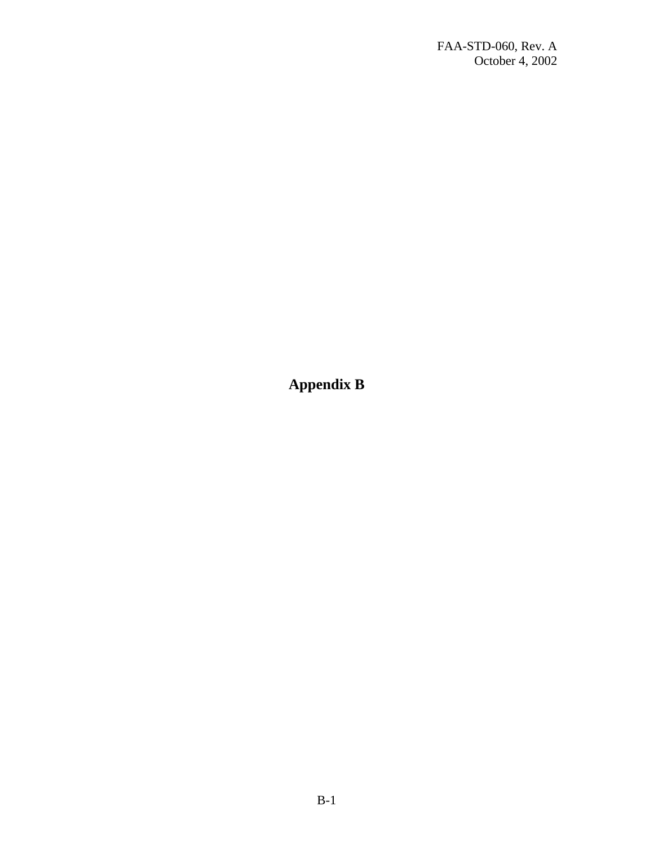<span id="page-14-0"></span>**Appendix B**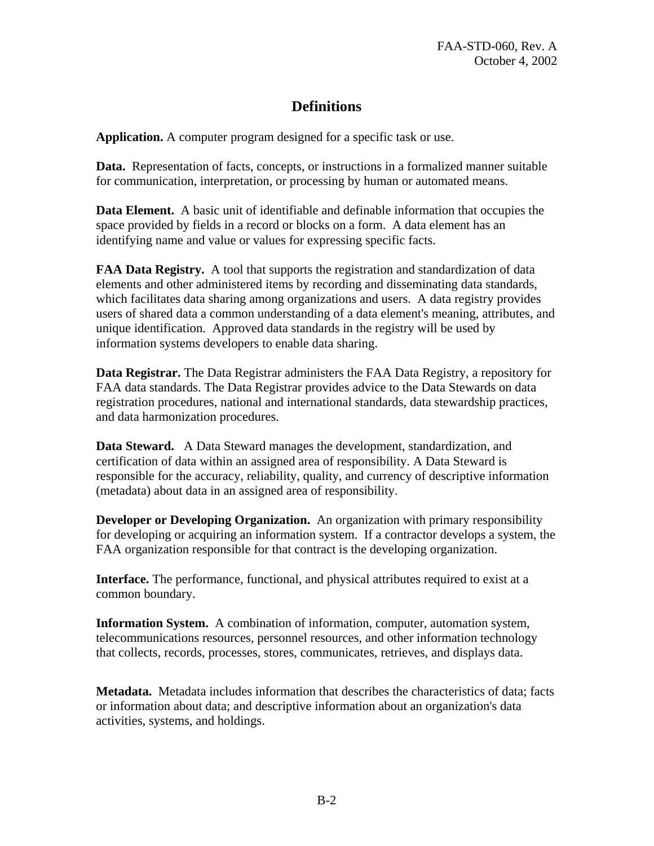## **Definitions**

<span id="page-15-0"></span>**Application.** A computer program designed for a specific task or use.

**Data.** Representation of facts, concepts, or instructions in a formalized manner suitable for communication, interpretation, or processing by human or automated means.

**Data Element.** A basic unit of identifiable and definable information that occupies the space provided by fields in a record or blocks on a form. A data element has an identifying name and value or values for expressing specific facts.

**FAA Data Registry.** A tool that supports the registration and standardization of data elements and other administered items by recording and disseminating data standards, which facilitates data sharing among organizations and users. A data registry provides users of shared data a common understanding of a data element's meaning, attributes, and unique identification. Approved data standards in the registry will be used by information systems developers to enable data sharing.

**Data Registrar.** The Data Registrar administers the FAA Data Registry, a repository for FAA data standards. The Data Registrar provides advice to the Data Stewards on data registration procedures, national and international standards, data stewardship practices, and data harmonization procedures.

**Data Steward.** A Data Steward manages the development, standardization, and certification of data within an assigned area of responsibility. A Data Steward is responsible for the accuracy, reliability, quality, and currency of descriptive information (metadata) about data in an assigned area of responsibility.

**Developer or Developing Organization.** An organization with primary responsibility for developing or acquiring an information system. If a contractor develops a system, the FAA organization responsible for that contract is the developing organization.

**Interface.** The performance, functional, and physical attributes required to exist at a common boundary.

**Information System.** A combination of information, computer, automation system, telecommunications resources, personnel resources, and other information technology that collects, records, processes, stores, communicates, retrieves, and displays data.

**Metadata.** Metadata includes information that describes the characteristics of data; facts or information about data; and descriptive information about an organization's data activities, systems, and holdings.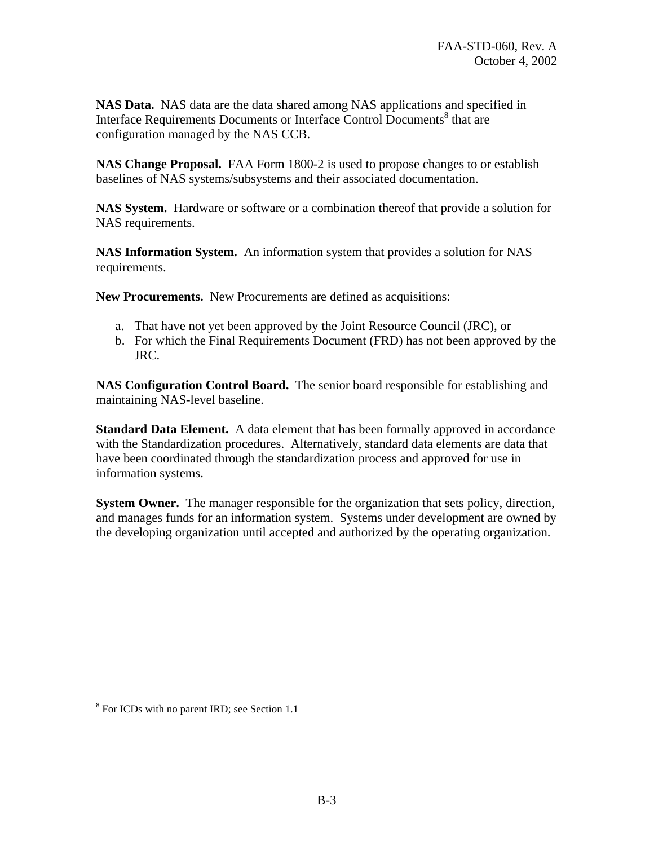**NAS Data.** NAS data are the data shared among NAS applications and specified in Interface Requirements Documents or Interface Control Documents<sup>8</sup> that are configuration managed by the NAS CCB.

**NAS Change Proposal.** FAA Form 1800-2 is used to propose changes to or establish baselines of NAS systems/subsystems and their associated documentation.

**NAS System.** Hardware or software or a combination thereof that provide a solution for NAS requirements.

**NAS Information System.** An information system that provides a solution for NAS requirements.

**New Procurements.** New Procurements are defined as acquisitions:

- a. That have not yet been approved by the Joint Resource Council (JRC), or
- b. For which the Final Requirements Document (FRD) has not been approved by the JRC.

**NAS Configuration Control Board.** The senior board responsible for establishing and maintaining NAS-level baseline.

**Standard Data Element.** A data element that has been formally approved in accordance with the Standardization procedures. Alternatively, standard data elements are data that have been coordinated through the standardization process and approved for use in information systems.

**System Owner.** The manager responsible for the organization that sets policy, direction, and manages funds for an information system. Systems under development are owned by the developing organization until accepted and authorized by the operating organization.

1

<span id="page-16-0"></span><sup>&</sup>lt;sup>8</sup> For ICDs with no parent IRD; see Section 1.1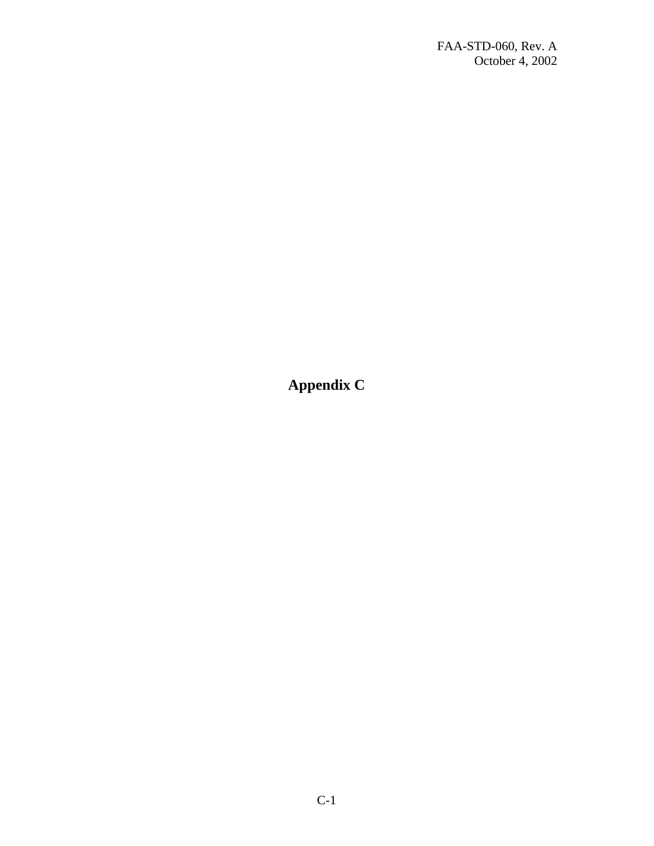<span id="page-17-0"></span>**Appendix C**